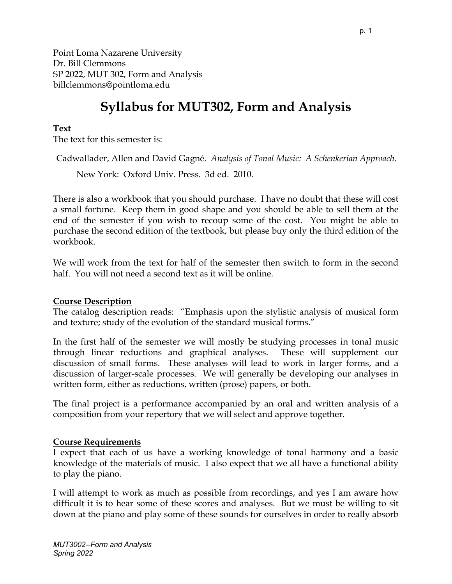Point Loma Nazarene University Dr. Bill Clemmons SP 2022, MUT 302, Form and Analysis billclemmons@pointloma.edu

# **Syllabus for MUT302, Form and Analysis**

#### **Text**

The text for this semester is:

Cadwallader, Allen and David Gagné. *Analysis of Tonal Music: A Schenkerian Approach*.

New York: Oxford Univ. Press. 3d ed. 2010.

There is also a workbook that you should purchase. I have no doubt that these will cost a small fortune. Keep them in good shape and you should be able to sell them at the end of the semester if you wish to recoup some of the cost. You might be able to purchase the second edition of the textbook, but please buy only the third edition of the workbook.

We will work from the text for half of the semester then switch to form in the second half. You will not need a second text as it will be online.

#### **Course Description**

The catalog description reads: "Emphasis upon the stylistic analysis of musical form and texture; study of the evolution of the standard musical forms."

In the first half of the semester we will mostly be studying processes in tonal music through linear reductions and graphical analyses. These will supplement our discussion of small forms. These analyses will lead to work in larger forms, and a discussion of larger-scale processes. We will generally be developing our analyses in written form, either as reductions, written (prose) papers, or both.

The final project is a performance accompanied by an oral and written analysis of a composition from your repertory that we will select and approve together.

#### **Course Requirements**

I expect that each of us have a working knowledge of tonal harmony and a basic knowledge of the materials of music. I also expect that we all have a functional ability to play the piano.

I will attempt to work as much as possible from recordings, and yes I am aware how difficult it is to hear some of these scores and analyses. But we must be willing to sit down at the piano and play some of these sounds for ourselves in order to really absorb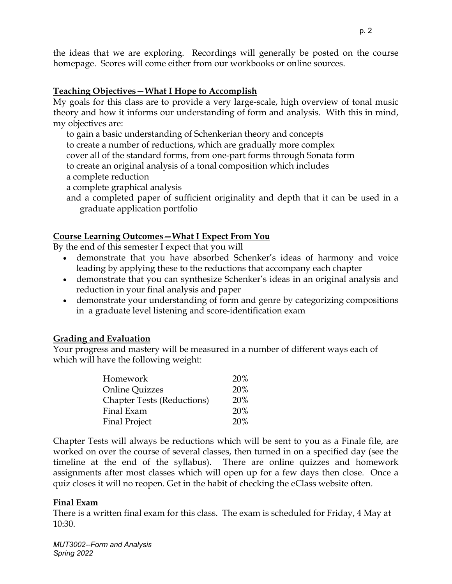the ideas that we are exploring. Recordings will generally be posted on the course homepage. Scores will come either from our workbooks or online sources.

## **Teaching Objectives—What I Hope to Accomplish**

My goals for this class are to provide a very large-scale, high overview of tonal music theory and how it informs our understanding of form and analysis. With this in mind, my objectives are:

to gain a basic understanding of Schenkerian theory and concepts to create a number of reductions, which are gradually more complex cover all of the standard forms, from one-part forms through Sonata form to create an original analysis of a tonal composition which includes a complete reduction

a complete graphical analysis

and a completed paper of sufficient originality and depth that it can be used in a graduate application portfolio

### **Course Learning Outcomes—What I Expect From You**

By the end of this semester I expect that you will

- demonstrate that you have absorbed Schenker's ideas of harmony and voice leading by applying these to the reductions that accompany each chapter
- demonstrate that you can synthesize Schenker's ideas in an original analysis and reduction in your final analysis and paper
- demonstrate your understanding of form and genre by categorizing compositions in a graduate level listening and score-identification exam

### **Grading and Evaluation**

Your progress and mastery will be measured in a number of different ways each of which will have the following weight:

| Homework                          | <b>20%</b> |
|-----------------------------------|------------|
| <b>Online Quizzes</b>             | 20%        |
| <b>Chapter Tests (Reductions)</b> | <b>20%</b> |
| Final Exam                        | 20%        |
| <b>Final Project</b>              | 20%        |

Chapter Tests will always be reductions which will be sent to you as a Finale file, are worked on over the course of several classes, then turned in on a specified day (see the timeline at the end of the syllabus). There are online quizzes and homework assignments after most classes which will open up for a few days then close. Once a quiz closes it will no reopen. Get in the habit of checking the eClass website often.

### **Final Exam**

There is a written final exam for this class. The exam is scheduled for Friday, 4 May at 10:30.

*MUT3002--Form and Analysis Spring 2022*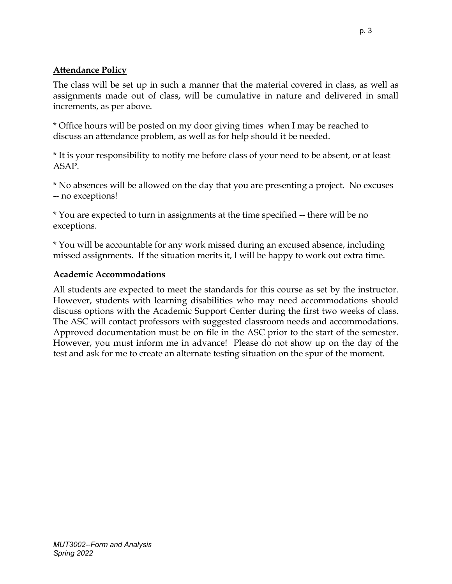## **Attendance Policy**

The class will be set up in such a manner that the material covered in class, as well as assignments made out of class, will be cumulative in nature and delivered in small increments, as per above.

\* Office hours will be posted on my door giving times when I may be reached to discuss an attendance problem, as well as for help should it be needed.

\* It is your responsibility to notify me before class of your need to be absent, or at least ASAP.

\* No absences will be allowed on the day that you are presenting a project. No excuses -- no exceptions!

\* You are expected to turn in assignments at the time specified -- there will be no exceptions.

\* You will be accountable for any work missed during an excused absence, including missed assignments. If the situation merits it, I will be happy to work out extra time.

#### **Academic Accommodations**

All students are expected to meet the standards for this course as set by the instructor. However, students with learning disabilities who may need accommodations should discuss options with the Academic Support Center during the first two weeks of class. The ASC will contact professors with suggested classroom needs and accommodations. Approved documentation must be on file in the ASC prior to the start of the semester. However, you must inform me in advance! Please do not show up on the day of the test and ask for me to create an alternate testing situation on the spur of the moment.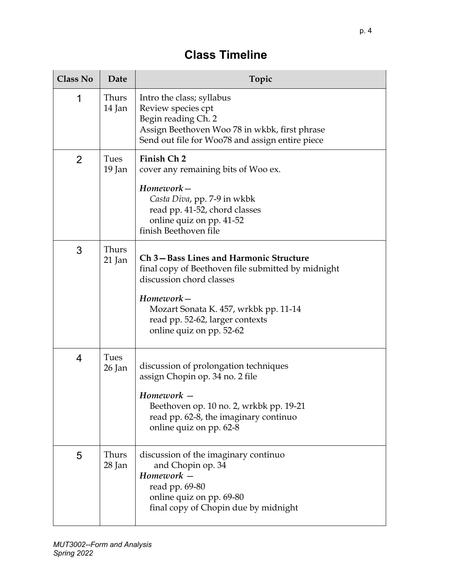## **Class Timeline**

| <b>Class No</b> | Date            | Topic                                                                                                                                                                                                                                         |
|-----------------|-----------------|-----------------------------------------------------------------------------------------------------------------------------------------------------------------------------------------------------------------------------------------------|
| 1               | Thurs<br>14 Jan | Intro the class; syllabus<br>Review species cpt<br>Begin reading Ch. 2<br>Assign Beethoven Woo 78 in wkbk, first phrase<br>Send out file for Woo78 and assign entire piece                                                                    |
| $\overline{2}$  | Tues<br>19 Jan  | Finish Ch 2<br>cover any remaining bits of Woo ex.<br>Homework-<br>Casta Diva, pp. 7-9 in wkbk<br>read pp. 41-52, chord classes<br>online quiz on pp. 41-52<br>finish Beethoven file                                                          |
| 3               | Thurs<br>21 Jan | Ch 3-Bass Lines and Harmonic Structure<br>final copy of Beethoven file submitted by midnight<br>discussion chord classes<br>Homework-<br>Mozart Sonata K. 457, wrkbk pp. 11-14<br>read pp. 52-62, larger contexts<br>online quiz on pp. 52-62 |
| 4               | Tues<br>26 Jan  | discussion of prolongation techniques<br>assign Chopin op. 34 no. 2 file<br>Homework -<br>Beethoven op. 10 no. 2, wrkbk pp. 19-21<br>read pp. 62-8, the imaginary continuo<br>online quiz on pp. 62-8                                         |
| 5               | Thurs<br>28 Jan | discussion of the imaginary continuo<br>and Chopin op. 34<br>Homework -<br>read pp. 69-80<br>online quiz on pp. 69-80<br>final copy of Chopin due by midnight                                                                                 |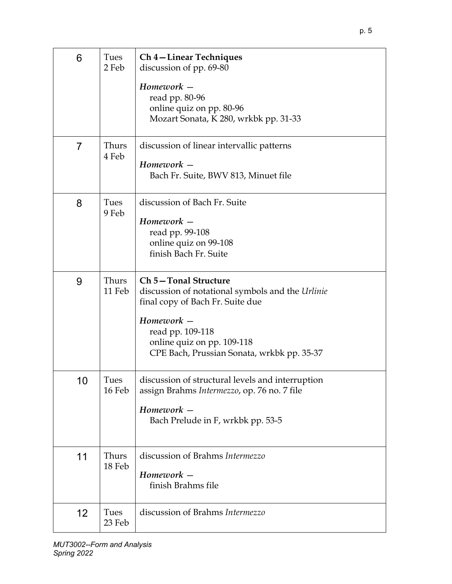| 6              | Tues<br>2 Feb   | Ch 4 – Linear Techniques<br>discussion of pp. 69-80<br>Homework -<br>read pp. 80-96<br>online quiz on pp. 80-96<br>Mozart Sonata, K 280, wrkbk pp. 31-33                                                                   |
|----------------|-----------------|----------------------------------------------------------------------------------------------------------------------------------------------------------------------------------------------------------------------------|
| $\overline{7}$ | Thurs<br>4 Feb  | discussion of linear intervallic patterns<br>Homework -<br>Bach Fr. Suite, BWV 813, Minuet file                                                                                                                            |
| 8              | Tues<br>9 Feb   | discussion of Bach Fr. Suite<br>$H$ omework $-$<br>read pp. 99-108<br>online quiz on 99-108<br>finish Bach Fr. Suite                                                                                                       |
| 9              | Thurs<br>11 Feb | Ch 5-Tonal Structure<br>discussion of notational symbols and the Urlinie<br>final copy of Bach Fr. Suite due<br>Homework -<br>read pp. 109-118<br>online quiz on pp. 109-118<br>CPE Bach, Prussian Sonata, wrkbk pp. 35-37 |
| 10             | Tues<br>16 Feb  | discussion of structural levels and interruption<br>assign Brahms Intermezzo, op. 76 no. 7 file<br>Homework -<br>Bach Prelude in F, wrkbk pp. 53-5                                                                         |
| 11             | Thurs<br>18 Feb | discussion of Brahms Intermezzo<br>Homework -<br>finish Brahms file                                                                                                                                                        |
| 12             | Tues<br>23 Feb  | discussion of Brahms Intermezzo                                                                                                                                                                                            |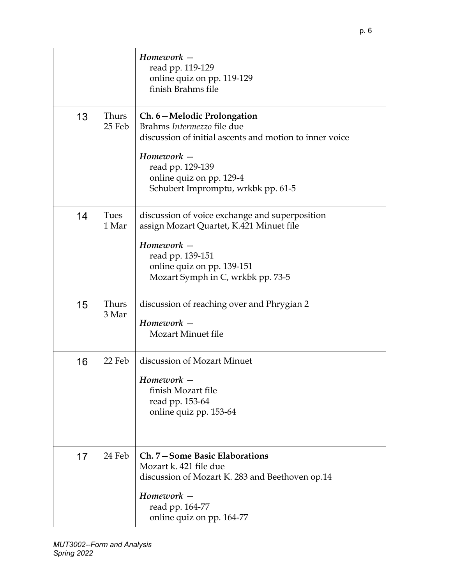|    |                 | Homework -<br>read pp. 119-129<br>online quiz on pp. 119-129<br>finish Brahms file                                                                                                                                      |
|----|-----------------|-------------------------------------------------------------------------------------------------------------------------------------------------------------------------------------------------------------------------|
| 13 | Thurs<br>25 Feb | Ch. 6-Melodic Prolongation<br>Brahms Intermezzo file due<br>discussion of initial ascents and motion to inner voice<br>Homework -<br>read pp. 129-139<br>online quiz on pp. 129-4<br>Schubert Impromptu, wrkbk pp. 61-5 |
| 14 | Tues<br>1 Mar   | discussion of voice exchange and superposition<br>assign Mozart Quartet, K.421 Minuet file<br>$H$ omework $-$<br>read pp. 139-151<br>online quiz on pp. 139-151<br>Mozart Symph in C, wrkbk pp. 73-5                    |
| 15 | Thurs<br>3 Mar  | discussion of reaching over and Phrygian 2<br>$H$ omework $-$<br><b>Mozart Minuet file</b>                                                                                                                              |
| 16 | 22 Feb          | discussion of Mozart Minuet<br>Homework -<br>finish Mozart file<br>read pp. 153-64<br>online quiz pp. 153-64                                                                                                            |
| 17 | 24 Feb          | Ch. 7-Some Basic Elaborations<br>Mozart k. 421 file due<br>discussion of Mozart K. 283 and Beethoven op.14<br>Homework -<br>read pp. 164-77<br>online quiz on pp. 164-77                                                |

p. 6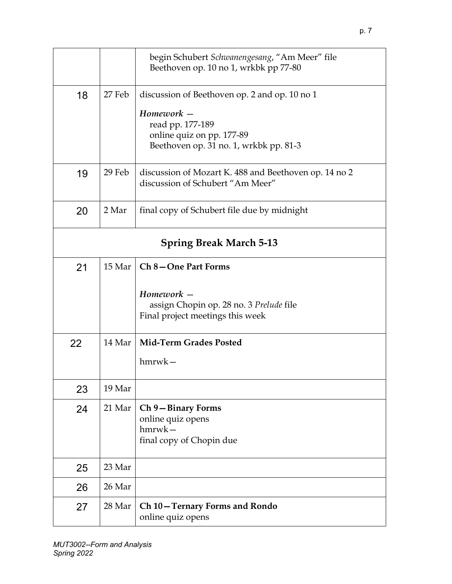|    |                                | begin Schubert Schwanengesang, "Am Meer" file<br>Beethoven op. 10 no 1, wrkbk pp 77-80                |  |
|----|--------------------------------|-------------------------------------------------------------------------------------------------------|--|
| 18 | 27 Feb                         | discussion of Beethoven op. 2 and op. 10 no 1                                                         |  |
|    |                                | Homework -<br>read pp. 177-189<br>online quiz on pp. 177-89<br>Beethoven op. 31 no. 1, wrkbk pp. 81-3 |  |
| 19 | 29 Feb                         | discussion of Mozart K. 488 and Beethoven op. 14 no 2<br>discussion of Schubert "Am Meer"             |  |
| 20 | 2 Mar                          | final copy of Schubert file due by midnight                                                           |  |
|    | <b>Spring Break March 5-13</b> |                                                                                                       |  |
| 21 | 15 Mar                         | Ch 8-One Part Forms                                                                                   |  |
|    |                                | Homework -<br>assign Chopin op. 28 no. 3 Prelude file<br>Final project meetings this week             |  |
| 22 | 14 Mar                         | <b>Mid-Term Grades Posted</b>                                                                         |  |
|    |                                | $h$ mrw $k-$                                                                                          |  |
| 23 | 19 Mar                         |                                                                                                       |  |
| 24 | 21 Mar                         | Ch 9-Binary Forms<br>online quiz opens<br>$hmvwk -$<br>final copy of Chopin due                       |  |
| 25 | 23 Mar                         |                                                                                                       |  |
| 26 | 26 Mar                         |                                                                                                       |  |
| 27 | 28 Mar                         | Ch 10 – Ternary Forms and Rondo<br>online quiz opens                                                  |  |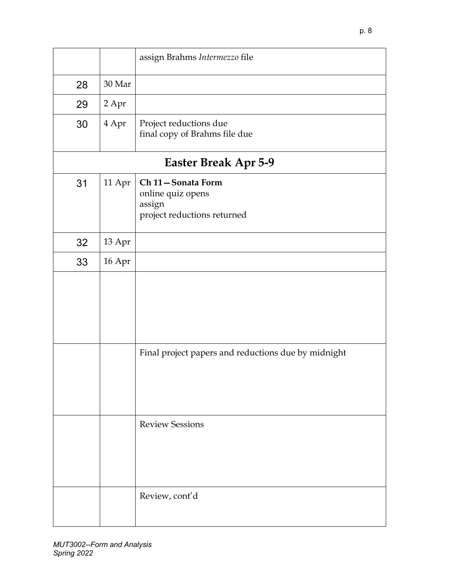|    |        | assign Brahms Intermezzo file                                                   |
|----|--------|---------------------------------------------------------------------------------|
| 28 | 30 Mar |                                                                                 |
| 29 | 2 Apr  |                                                                                 |
| 30 | 4 Apr  | Project reductions due<br>final copy of Brahms file due                         |
|    |        | Easter Break Apr 5-9                                                            |
| 31 | 11 Apr | Ch 11-Sonata Form<br>online quiz opens<br>assign<br>project reductions returned |
| 32 | 13 Apr |                                                                                 |
| 33 | 16 Apr |                                                                                 |
|    |        |                                                                                 |
|    |        | Final project papers and reductions due by midnight                             |
|    |        | <b>Review Sessions</b>                                                          |
|    |        | Review, cont'd                                                                  |